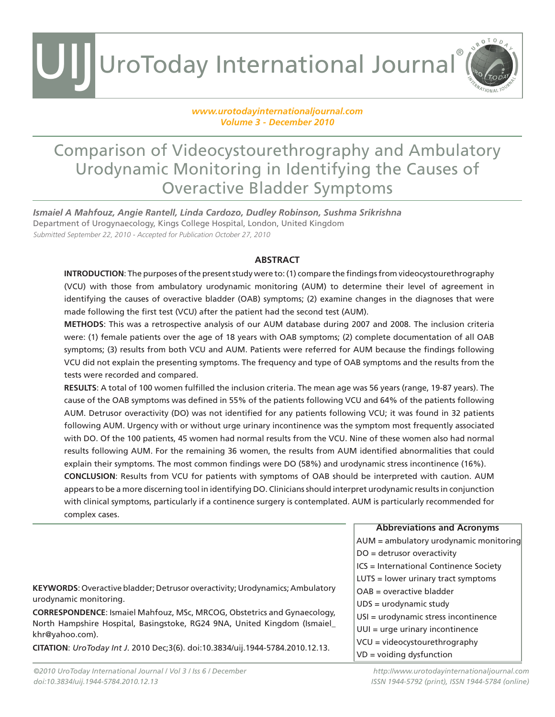#### *www.urotodayinternationaljournal.com Volume 3 - December 2010*

### Comparison of Videocystourethrography and Ambulatory Urodynamic Monitoring in Identifying the Causes of Overactive Bladder Symptoms

*Ismaiel A Mahfouz, Angie Rantell, Linda Cardozo, Dudley Robinson, Sushma Srikrishna* Department of Urogynaecology, Kings College Hospital, London, United Kingdom Submitted September 22, 2010 - Accepted for Publication October 27, 2010

#### **ABSTRACT**

**INTRODUCTION**: The purposes of the present study were to: (1) compare the findings from videocystourethrography (VCU) with those from ambulatory urodynamic monitoring (AUM) to determine their level of agreement in identifying the causes of overactive bladder (OAB) symptoms; (2) examine changes in the diagnoses that were made following the first test (VCU) after the patient had the second test (AUM).

**METHODS**: This was a retrospective analysis of our AUM database during 2007 and 2008. The inclusion criteria were: (1) female patients over the age of 18 years with OAB symptoms; (2) complete documentation of all OAB symptoms; (3) results from both VCU and AUM. Patients were referred for AUM because the findings following VCU did not explain the presenting symptoms. The frequency and type of OAB symptoms and the results from the tests were recorded and compared.

**RESULTS**: A total of 100 women fulfilled the inclusion criteria. The mean age was 56 years (range, 19-87 years). The cause of the OAB symptoms was defined in 55% of the patients following VCU and 64% of the patients following AUM. Detrusor overactivity (DO) was not identified for any patients following VCU; it was found in 32 patients following AUM. Urgency with or without urge urinary incontinence was the symptom most frequently associated with DO. Of the 100 patients, 45 women had normal results from the VCU. Nine of these women also had normal results following AUM. For the remaining 36 women, the results from AUM identified abnormalities that could explain their symptoms. The most common findings were DO (58%) and urodynamic stress incontinence (16%). **CONCLUSION**: Results from VCU for patients with symptoms of OAB should be interpreted with caution. AUM appears to be a more discerning tool in identifying DO. Clinicians should interpret urodynamic results in conjunction with clinical symptoms, particularly if a continence surgery is contemplated. AUM is particularly recommended for complex cases.

|                                                                                                                                                                                                                                                                                                                                                                                    | $AUM =$ ambulatory urodynamic monitoring |
|------------------------------------------------------------------------------------------------------------------------------------------------------------------------------------------------------------------------------------------------------------------------------------------------------------------------------------------------------------------------------------|------------------------------------------|
|                                                                                                                                                                                                                                                                                                                                                                                    | $DO = detrusor overactivity$             |
|                                                                                                                                                                                                                                                                                                                                                                                    | ICS = International Continence Society   |
| <b>KEYWORDS:</b> Overactive bladder; Detrusor overactivity; Urodynamics; Ambulatory<br>urodynamic monitoring.<br><b>CORRESPONDENCE:</b> Ismaiel Mahfouz, MSc, MRCOG, Obstetrics and Gynaecology,<br>North Hampshire Hospital, Basingstoke, RG24 9NA, United Kingdom (Ismaiel_<br>khr@yahoo.com).<br>CITATION: UroToday Int J. 2010 Dec;3(6). doi:10.3834/uij.1944-5784.2010.12.13. | LUTS = lower urinary tract symptoms      |
|                                                                                                                                                                                                                                                                                                                                                                                    | $OAB$ = overactive bladder               |
|                                                                                                                                                                                                                                                                                                                                                                                    | $UDS = urodynamic study$                 |
|                                                                                                                                                                                                                                                                                                                                                                                    | USI = urodynamic stress incontinence     |
|                                                                                                                                                                                                                                                                                                                                                                                    | $UUI = $ urge urinary incontinence       |
|                                                                                                                                                                                                                                                                                                                                                                                    | VCU = videocystourethrography            |
|                                                                                                                                                                                                                                                                                                                                                                                    | $VD = voiding$ dysfunction               |
|                                                                                                                                                                                                                                                                                                                                                                                    |                                          |

**Abbreviations and Acronyms**

ROTOD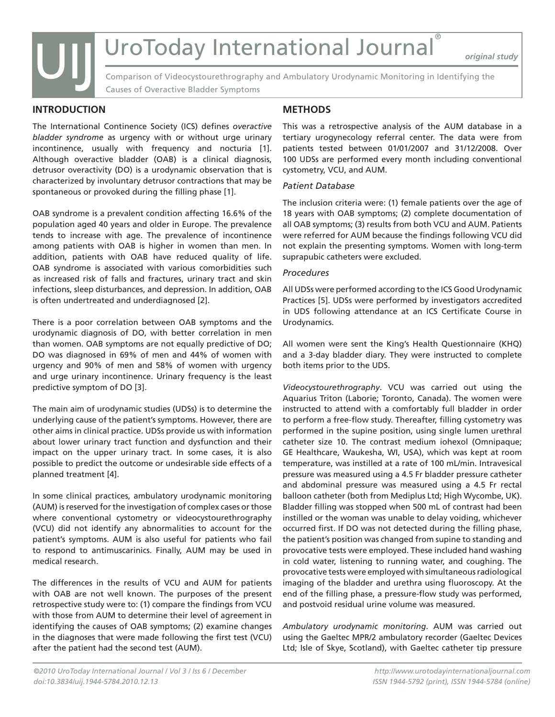*original study*

Comparison of Videocystourethrography and Ambulatory Urodynamic Monitoring in Identifying the Causes of Overactive Bladder Symptoms

#### **INTRODUCTION**

UIJ

The International Continence Society (ICS) defines *overactive bladder syndrome* as urgency with or without urge urinary incontinence, usually with frequency and nocturia [1]. Although overactive bladder (OAB) is a clinical diagnosis, detrusor overactivity (DO) is a urodynamic observation that is characterized by involuntary detrusor contractions that may be spontaneous or provoked during the filling phase [1].

OAB syndrome is a prevalent condition affecting 16.6% of the population aged 40 years and older in Europe. The prevalence tends to increase with age. The prevalence of incontinence among patients with OAB is higher in women than men. In addition, patients with OAB have reduced quality of life. OAB syndrome is associated with various comorbidities such as increased risk of falls and fractures, urinary tract and skin infections, sleep disturbances, and depression. In addition, OAB is often undertreated and underdiagnosed [2].

There is a poor correlation between OAB symptoms and the urodynamic diagnosis of DO, with better correlation in men than women. OAB symptoms are not equally predictive of DO; DO was diagnosed in 69% of men and 44% of women with urgency and 90% of men and 58% of women with urgency and urge urinary incontinence. Urinary frequency is the least predictive symptom of DO [3].

The main aim of urodynamic studies (UDSs) is to determine the underlying cause of the patient's symptoms. However, there are other aims in clinical practice. UDSs provide us with information about lower urinary tract function and dysfunction and their impact on the upper urinary tract. In some cases, it is also possible to predict the outcome or undesirable side effects of a planned treatment [4].

In some clinical practices, ambulatory urodynamic monitoring (AUM) is reserved for the investigation of complex cases or those where conventional cystometry or videocystourethrography (VCU) did not identify any abnormalities to account for the patient's symptoms. AUM is also useful for patients who fail to respond to antimuscarinics. Finally, AUM may be used in medical research.

The differences in the results of VCU and AUM for patients with OAB are not well known. The purposes of the present retrospective study were to: (1) compare the findings from VCU with those from AUM to determine their level of agreement in identifying the causes of OAB symptoms; (2) examine changes in the diagnoses that were made following the first test (VCU) after the patient had the second test (AUM).

#### **METHODS**

This was a retrospective analysis of the AUM database in a tertiary urogynecology referral center. The data were from patients tested between 01/01/2007 and 31/12/2008. Over 100 UDSs are performed every month including conventional cystometry, VCU, and AUM.

#### *Patient Database*

The inclusion criteria were: (1) female patients over the age of 18 years with OAB symptoms; (2) complete documentation of all OAB symptoms; (3) results from both VCU and AUM. Patients were referred for AUM because the findings following VCU did not explain the presenting symptoms. Women with long-term suprapubic catheters were excluded.

#### *Procedures*

All UDSs were performed according to the ICS Good Urodynamic Practices [5]. UDSs were performed by investigators accredited in UDS following attendance at an ICS Certificate Course in Urodynamics.

All women were sent the King's Health Questionnaire (KHQ) and a 3-day bladder diary. They were instructed to complete both items prior to the UDS.

*Videocystourethrography*. VCU was carried out using the Aquarius Triton (Laborie; Toronto, Canada). The women were instructed to attend with a comfortably full bladder in order to perform a free-flow study. Thereafter, filling cystometry was performed in the supine position, using single lumen urethral catheter size 10. The contrast medium iohexol (Omnipaque; GE Healthcare, Waukesha, WI, USA), which was kept at room temperature, was instilled at a rate of 100 mL/min. Intravesical pressure was measured using a 4.5 Fr bladder pressure catheter and abdominal pressure was measured using a 4.5 Fr rectal balloon catheter (both from Mediplus Ltd; High Wycombe, UK). Bladder filling was stopped when 500 mL of contrast had been instilled or the woman was unable to delay voiding, whichever occurred first. If DO was not detected during the filling phase, the patient's position was changed from supine to standing and provocative tests were employed. These included hand washing in cold water, listening to running water, and coughing. The provocative tests were employed with simultaneous radiological imaging of the bladder and urethra using fluoroscopy. At the end of the filling phase, a pressure-flow study was performed, and postvoid residual urine volume was measured.

*Ambulatory urodynamic monitoring*. AUM was carried out using the Gaeltec MPR/2 ambulatory recorder (Gaeltec Devices Ltd; Isle of Skye, Scotland), with Gaeltec catheter tip pressure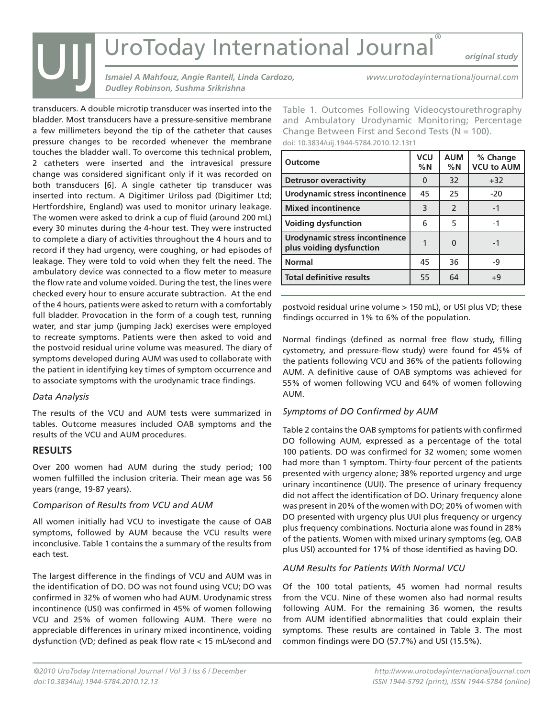*original study*

*Ismaiel A Mahfouz, Angie Rantell, Linda Cardozo, Dudley Robinson, Sushma Srikrishna*

transducers. A double microtip transducer was inserted into the bladder. Most transducers have a pressure-sensitive membrane a few millimeters beyond the tip of the catheter that causes pressure changes to be recorded whenever the membrane touches the bladder wall. To overcome this technical problem, 2 catheters were inserted and the intravesical pressure change was considered significant only if it was recorded on both transducers [6]. A single catheter tip transducer was inserted into rectum. A Digitimer Uriloss pad (Digitimer Ltd; Hertfordshire, England) was used to monitor urinary leakage. The women were asked to drink a cup of fluid (around 200 mL) every 30 minutes during the 4-hour test. They were instructed to complete a diary of activities throughout the 4 hours and to record if they had urgency, were coughing, or had episodes of leakage. They were told to void when they felt the need. The ambulatory device was connected to a flow meter to measure the flow rate and volume voided. During the test, the lines were checked every hour to ensure accurate subtraction. At the end of the 4 hours, patients were asked to return with a comfortably full bladder. Provocation in the form of a cough test, running water, and star jump (jumping Jack) exercises were employed to recreate symptoms. Patients were then asked to void and the postvoid residual urine volume was measured. The diary of symptoms developed during AUM was used to collaborate with the patient in identifying key times of symptom occurrence and to associate symptoms with the urodynamic trace findings.

#### *Data Analysis*

The results of the VCU and AUM tests were summarized in tables. Outcome measures included OAB symptoms and the results of the VCU and AUM procedures.

#### **RESULTS**

Over 200 women had AUM during the study period; 100 women fulfilled the inclusion criteria. Their mean age was 56 years (range, 19-87 years).

#### *Comparison of Results from VCU and AUM*

All women initially had VCU to investigate the cause of OAB symptoms, followed by AUM because the VCU results were inconclusive. Table 1 contains the a summary of the results from each test.

The largest difference in the findings of VCU and AUM was in the identification of DO. DO was not found using VCU; DO was confirmed in 32% of women who had AUM. Urodynamic stress incontinence (USI) was confirmed in 45% of women following VCU and 25% of women following AUM. There were no appreciable differences in urinary mixed incontinence, voiding dysfunction (VD; defined as peak flow rate < 15 mL/second and

Table 1. Outcomes Following Videocystourethrography

*www.urotodayinternationaljournal.com*

and Ambulatory Urodynamic Monitoring; Percentage Change Between First and Second Tests ( $N = 100$ ). doi: 10.3834/uij.1944-5784.2010.12.13t1

| <b>Outcome</b>                                             | <b>VCU</b><br>%N | <b>AUM</b><br>%N | % Change<br><b>VCU to AUM</b> |
|------------------------------------------------------------|------------------|------------------|-------------------------------|
| <b>Detrusor overactivity</b>                               | $\Omega$         | 32               | $+32$                         |
| <b>Urodynamic stress incontinence</b>                      | 45               | 25               | $-20$                         |
| <b>Mixed incontinence</b>                                  | 3                | $\overline{2}$   | $-1$                          |
| <b>Voiding dysfunction</b>                                 | 6                | 5                | -1                            |
| Urodynamic stress incontinence<br>plus voiding dysfunction |                  | $\Omega$         | -1                            |
| <b>Normal</b>                                              | 45               | 36               | -9                            |
| <b>Total definitive results</b>                            | 55               | 64               | $+9$                          |

postvoid residual urine volume > 150 mL), or USI plus VD; these findings occurred in 1% to 6% of the population.

Normal findings (defined as normal free flow study, filling cystometry, and pressure-flow study) were found for 45% of the patients following VCU and 36% of the patients following AUM. A definitive cause of OAB symptoms was achieved for 55% of women following VCU and 64% of women following AUM.

#### *Symptoms of DO Confirmed by AUM*

Table 2 contains the OAB symptoms for patients with confirmed DO following AUM, expressed as a percentage of the total 100 patients. DO was confirmed for 32 women; some women had more than 1 symptom. Thirty-four percent of the patients presented with urgency alone; 38% reported urgency and urge urinary incontinence (UUI). The presence of urinary frequency did not affect the identification of DO. Urinary frequency alone was present in 20% of the women with DO; 20% of women with DO presented with urgency plus UUI plus frequency or urgency plus frequency combinations. Nocturia alone was found in 28% of the patients. Women with mixed urinary symptoms (eg, OAB plus USI) accounted for 17% of those identified as having DO.

#### *AUM Results for Patients With Normal VCU*

Of the 100 total patients, 45 women had normal results from the VCU. Nine of these women also had normal results following AUM. For the remaining 36 women, the results from AUM identified abnormalities that could explain their symptoms. These results are contained in Table 3. The most common findings were DO (57.7%) and USI (15.5%).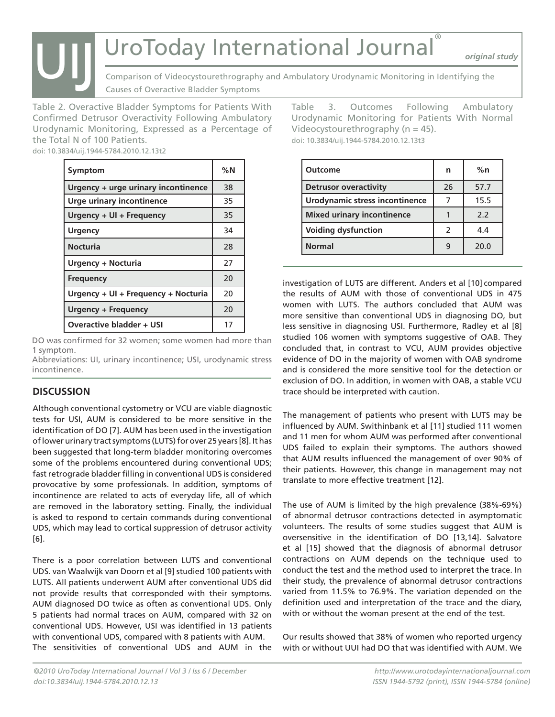*original study*

Comparison of Videocystourethrography and Ambulatory Urodynamic Monitoring in Identifying the Causes of Overactive Bladder Symptoms

Table 2. Overactive Bladder Symptoms for Patients With Confirmed Detrusor Overactivity Following Ambulatory Urodynamic Monitoring, Expressed as a Percentage of the Total N of 100 Patients. UIJ

doi: 10.3834/uij.1944-5784.2010.12.13t2

| Symptom                             | %N |
|-------------------------------------|----|
| Urgency + urge urinary incontinence | 38 |
| Urge urinary incontinence           | 35 |
| Urgency + UI + Frequency            | 35 |
| <b>Urgency</b>                      | 34 |
| <b>Nocturia</b>                     | 28 |
| <b>Urgency + Nocturia</b>           | 27 |
| <b>Frequency</b>                    | 20 |
| Urgency + UI + Frequency + Nocturia | 20 |
| <b>Urgency + Frequency</b>          | 20 |
| <b>Overactive bladder + USI</b>     | 17 |

DO was confirmed for 32 women; some women had more than 1 symptom.

Abbreviations: UI, urinary incontinence; USI, urodynamic stress incontinence.

#### **DISCUSSION**

Although conventional cystometry or VCU are viable diagnostic tests for USI, AUM is considered to be more sensitive in the identification of DO [7]. AUM has been used in the investigation of lower urinary tract symptoms (LUTS) for over 25 years [8]. It has been suggested that long-term bladder monitoring overcomes some of the problems encountered during conventional UDS; fast retrograde bladder filling in conventional UDS is considered provocative by some professionals. In addition, symptoms of incontinence are related to acts of everyday life, all of which are removed in the laboratory setting. Finally, the individual is asked to respond to certain commands during conventional UDS, which may lead to cortical suppression of detrusor activity [6].

There is a poor correlation between LUTS and conventional UDS. van Waalwijk van Doorn et al [9] studied 100 patients with LUTS. All patients underwent AUM after conventional UDS did not provide results that corresponded with their symptoms. AUM diagnosed DO twice as often as conventional UDS. Only 5 patients had normal traces on AUM, compared with 32 on conventional UDS. However, USI was identified in 13 patients with conventional UDS, compared with 8 patients with AUM. The sensitivities of conventional UDS and AUM in the Table 3. Outcomes Following Ambulatory Urodynamic Monitoring for Patients With Normal Videocystourethrography (n = 45). doi: 10.3834/uij.1944-5784.2010.12.13t3

| <b>Outcome</b>                    | n             | %n   |
|-----------------------------------|---------------|------|
| <b>Detrusor overactivity</b>      | 26            | 57.7 |
| Urodynamic stress incontinence    |               | 15.5 |
| <b>Mixed urinary incontinence</b> |               | 22   |
| <b>Voiding dysfunction</b>        | $\mathcal{P}$ | 4.4  |
| <b>Normal</b>                     |               | 20.0 |

investigation of LUTS are different. Anders et al [10] compared the results of AUM with those of conventional UDS in 475 women with LUTS. The authors concluded that AUM was more sensitive than conventional UDS in diagnosing DO, but less sensitive in diagnosing USI. Furthermore, Radley et al [8] studied 106 women with symptoms suggestive of OAB. They concluded that, in contrast to VCU, AUM provides objective evidence of DO in the majority of women with OAB syndrome and is considered the more sensitive tool for the detection or exclusion of DO. In addition, in women with OAB, a stable VCU trace should be interpreted with caution.

The management of patients who present with LUTS may be influenced by AUM. Swithinbank et al [11] studied 111 women and 11 men for whom AUM was performed after conventional UDS failed to explain their symptoms. The authors showed that AUM results influenced the management of over 90% of their patients. However, this change in management may not translate to more effective treatment [12].

The use of AUM is limited by the high prevalence (38%-69%) of abnormal detrusor contractions detected in asymptomatic volunteers. The results of some studies suggest that AUM is oversensitive in the identification of DO [13,14]. Salvatore et al [15] showed that the diagnosis of abnormal detrusor contractions on AUM depends on the technique used to conduct the test and the method used to interpret the trace. In their study, the prevalence of abnormal detrusor contractions varied from 11.5% to 76.9%. The variation depended on the definition used and interpretation of the trace and the diary, with or without the woman present at the end of the test.

Our results showed that 38% of women who reported urgency with or without UUI had DO that was identified with AUM. We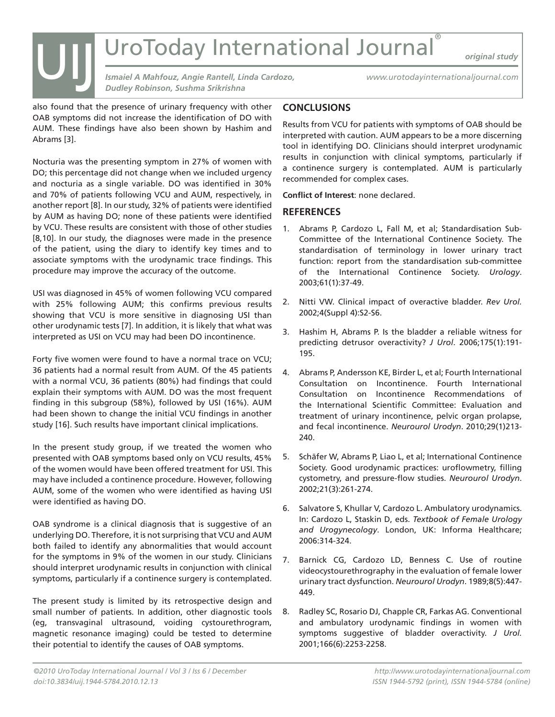*original study*

*Ismaiel A Mahfouz, Angie Rantell, Linda Cardozo, Dudley Robinson, Sushma Srikrishna*

*www.urotodayinternationaljournal.com*

also found that the presence of urinary frequency with other OAB symptoms did not increase the identification of DO with AUM. These findings have also been shown by Hashim and Abrams [3].

Nocturia was the presenting symptom in 27% of women with DO; this percentage did not change when we included urgency and nocturia as a single variable. DO was identified in 30% and 70% of patients following VCU and AUM, respectively, in another report [8]. In our study, 32% of patients were identified by AUM as having DO; none of these patients were identified by VCU. These results are consistent with those of other studies [8,10]. In our study, the diagnoses were made in the presence of the patient, using the diary to identify key times and to associate symptoms with the urodynamic trace findings. This procedure may improve the accuracy of the outcome.

USI was diagnosed in 45% of women following VCU compared with 25% following AUM; this confirms previous results showing that VCU is more sensitive in diagnosing USI than other urodynamic tests [7]. In addition, it is likely that what was interpreted as USI on VCU may had been DO incontinence.

Forty five women were found to have a normal trace on VCU; 36 patients had a normal result from AUM. Of the 45 patients with a normal VCU, 36 patients (80%) had findings that could explain their symptoms with AUM. DO was the most frequent finding in this subgroup (58%), followed by USI (16%). AUM had been shown to change the initial VCU findings in another study [16]. Such results have important clinical implications.

In the present study group, if we treated the women who presented with OAB symptoms based only on VCU results, 45% of the women would have been offered treatment for USI. This may have included a continence procedure. However, following AUM, some of the women who were identified as having USI were identified as having DO.

OAB syndrome is a clinical diagnosis that is suggestive of an underlying DO. Therefore, it is not surprising that VCU and AUM both failed to identify any abnormalities that would account for the symptoms in 9% of the women in our study. Clinicians should interpret urodynamic results in conjunction with clinical symptoms, particularly if a continence surgery is contemplated.

The present study is limited by its retrospective design and small number of patients. In addition, other diagnostic tools (eg, transvaginal ultrasound, voiding cystourethrogram, magnetic resonance imaging) could be tested to determine their potential to identify the causes of OAB symptoms.

#### **CONCLUSIONS**

Results from VCU for patients with symptoms of OAB should be interpreted with caution. AUM appears to be a more discerning tool in identifying DO. Clinicians should interpret urodynamic results in conjunction with clinical symptoms, particularly if a continence surgery is contemplated. AUM is particularly recommended for complex cases.

**Conflict of Interest**: none declared.

#### **REFERENCES**

- 1. Abrams P, Cardozo L, Fall M, et al; Standardisation Sub-Committee of the International Continence Society. The standardisation of terminology in lower urinary tract function: report from the standardisation sub-committee of the International Continence Society. *Urology*. 2003;61(1):37-49.
- 2. Nitti VW. Clinical impact of overactive bladder. *Rev Urol.*  2002;4(Suppl 4):S2-S6.
- 3. Hashim H, Abrams P. Is the bladder a reliable witness for predicting detrusor overactivity? *J Urol*. 2006;175(1):191- 195.
- 4. Abrams P, Andersson KE, Birder L, et al; Fourth International Consultation on Incontinence. Fourth International Consultation on Incontinence Recommendations of the International Scientific Committee: Evaluation and treatment of urinary incontinence, pelvic organ prolapse, and fecal incontinence. *Neurourol Urodyn*. 2010;29(1)213- 240.
- 5. Schäfer W, Abrams P, Liao L, et al; International Continence Society. Good urodynamic practices: uroflowmetry, filling cystometry, and pressure-flow studies. *Neurourol Urodyn*. 2002;21(3):261-274.
- 6. Salvatore S, Khullar V, Cardozo L. Ambulatory urodynamics. In: Cardozo L, Staskin D, eds. *Textbook of Female Urology and Urogynecology*. London, UK: Informa Healthcare; 2006:314-324.
- 7. Barnick CG, Cardozo LD, Benness C. Use of routine videocystourethrography in the evaluation of female lower urinary tract dysfunction. *Neurourol Urodyn*. 1989;8(5):447- 449.
- 8. Radley SC, Rosario DJ, Chapple CR, Farkas AG. Conventional and ambulatory urodynamic findings in women with symptoms suggestive of bladder overactivity. *J Urol.*  2001;166(6):2253-2258.